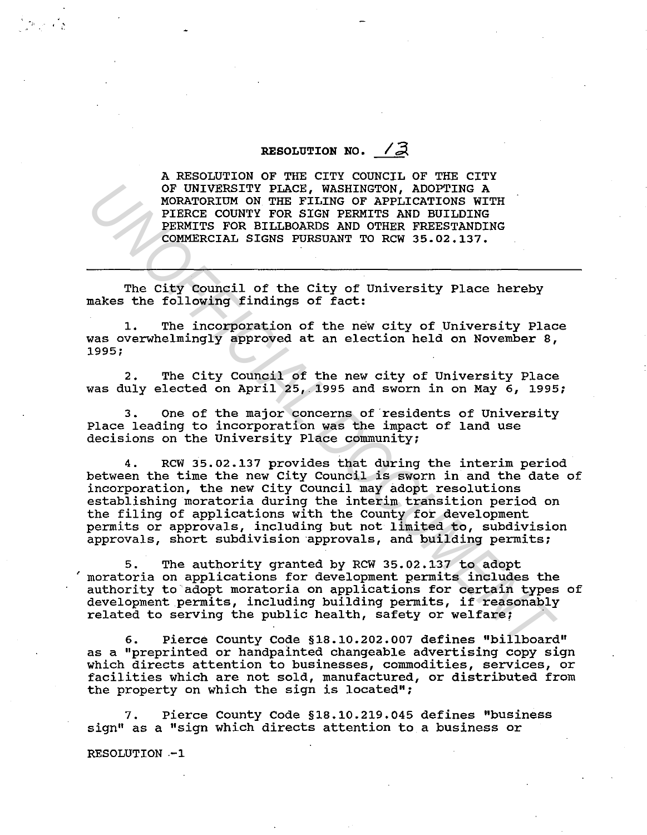## **RESOLUTION NO.**  $\angle 3$

A RESOLUTION OF THE CITY COUNCIL OF THE CITY OF UNIVERSITY PLACE, WASHINGTON, ADOPTING A MORATORIUM ON THE FILING OF APPLICATIONS WITH PIERCE COUNTY FOR SIGN PERMITS AND BUILDING PERMITS FOR BILLBOARDS AND OTHER FREESTANDING COMMERCIAL SIGNS PURSUANT TO RCW 35.02.137.

The city Council of the City of University Place hereby makes the following findings of fact:

1. The incorporation of the new city of University Place was overwhelmingly approved at an election held on November 8, 1995;

2. The City council of the new city of University Place was duly elected on April 25, 1995 and sworn in on May 6, 1995;

3. One of the major concerns of residents of University Place leading to incorporation was the impact of land use decisions on the University Place community;

4. RCW 35.02.137 provides that during the interim period between the time the new City Council is sworn in and the date of incorporation, the new city Council may adopt resolutions establishing moratoria during the interim transition period on the filing of applications with the County for development permits or approvals, including but not limited to, subdivision approvals, short subdivision ·approvals, and building permits; OF UNIVERSITY PLACE, WASHINGTON, ADOPTING A<br>
PORATORIUM ON THE FILING OF APPLICATIONS WITH<br>
PERROC COUNTY FOR SIGN PERROFICIAL SURFAINING<br>
PERROCUMENT SOR BILLEDGREDS AND OTHER FREESTANDING<br>
COMMERCIAL SIGNS FURSUANT TO RC

5. The authority granted by RCW 35.02.137 to adopt ' moratoria on applications for development permits includes the authority to'adopt moratoria on applications for certain types of development permits, including building permits, if reasonably related to serving the public health, safety or welfare;

6. Pierce County Code §18.10.202.007 defines "billboard" as a "preprinted or handpainted changeable advertising copy sign which directs attention to businesses, commodities, services, or facilities which are not sold, manufactured, or distributed from the property on which the sign is located";

7. Pierce County Code §18.10.219.045 defines "business sign" as a "sign which directs attention to a business or

RESOLUTION .-1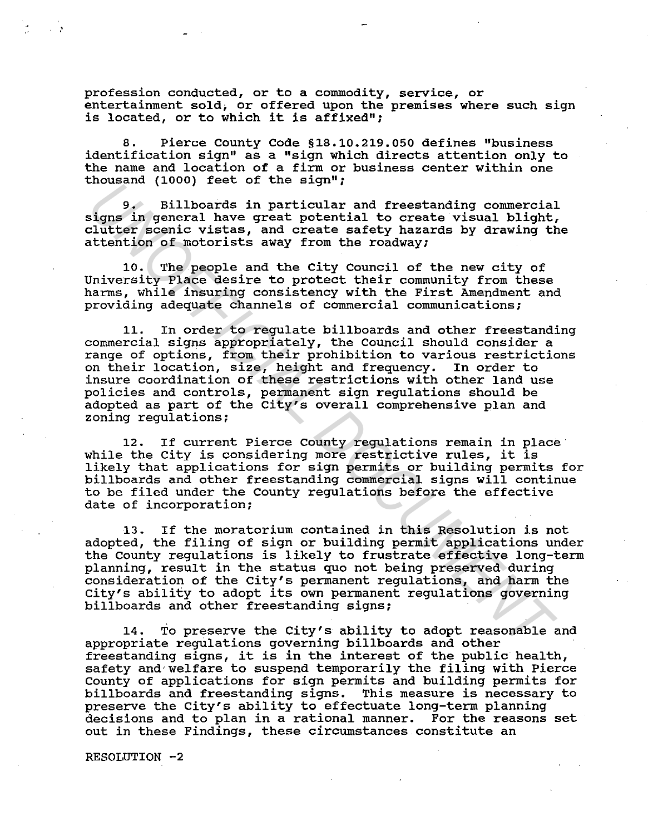profession conducted, or to a commodity, service, or entertainment sold; or offered upon the premises where such sign is located, or to which it is affixed";

8. Pierce County Code §18.10.219.050 defines "business identification sign" as a "sign which directs attention only to the name and location of a firm or business center within one thousand (1000) feet of the sign";

9. Billboards in particular and freestanding commercial signs in general have great potential to create visual blight, clutter scenic vistas, and create safety hazards by drawing the attention of motorists away from the roadway;

10. The people and the City Council of the new city of University Place desire to protect their community from these harms, while insuring consistency with the First Amendment and providing adequate channels of commercial communications;

11. In order to regulate billboards and other freestanding commercial signs appropriately, the Council should consider a range of options, from their prohibition to various restrictions on their location, size, height and frequency. In order to insure coordination of these restrictions with other land use policies and controls, permanent sign regulations should be adopted as part of the city's overall comprehensive plan and zoning regulations; **Example 11** Billboards in particular and freestanding commercial<br>igns in genibbands in particular and freestanding commercial<br>idigns in general wises, and oreats and reds and the total bilght<br>intention of motorists away f

12. If current Pierce County regulations remain in place while the City is considering more restrictive rules, it is likely that applications for sign permits or building permits for billboards and other freestanding commercial signs will continue to be filed under the County regulations before the effective date of incorporation;

13. If the moratorium contained in this Resolution is not adopted, the filing of sign or building permit applications under the County regulations is likely to frustrate effective long-term planning, result in the status quo not being preserved during consideration of the city's permanent regulations, and harm the City's ability to adopt its own permanent regulations governing billboards and other freestanding signs;

14. To preserve the City's ability to adopt reasonable and appropriate regulations governing billboards and other freestanding signs, it is in the interest of the public health, safety and,welfare to suspend temporarily the filing with Pierce County of applications for sign permits and building permits for billboards and freestanding signs. This measure is necessary to preserve the City's ability to effectuate long-term planning decisions and to plan in a rational manner. For the reasons set out in these Findings, these circumstances constitute an

RESOLUTION -2

'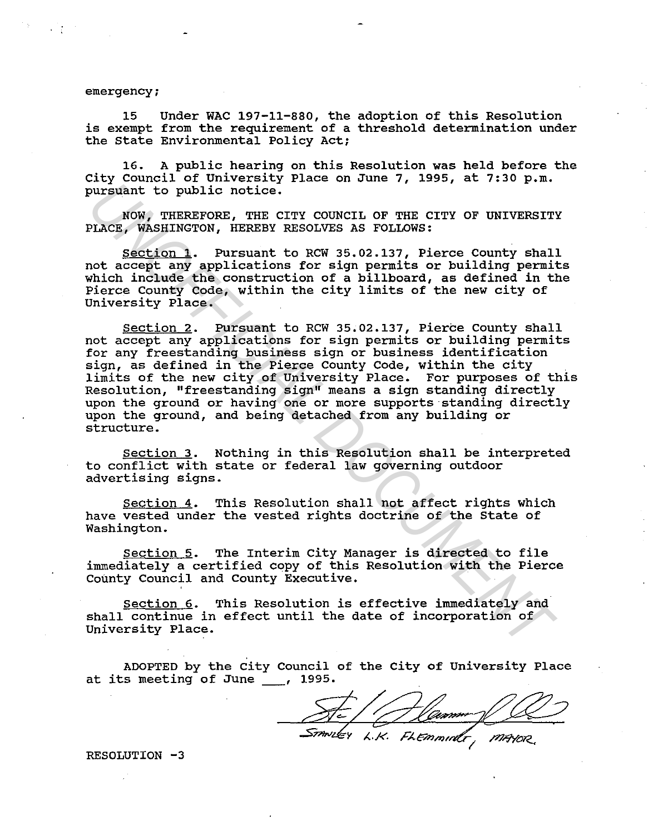## emergency;

15 is exempt from the requirement of a threshold determination under the state Environmental Policy Act; Under WAC 197-11-880, the adoption of this Resolution

16. A public hearing on this Resolution was held before the City Council of University Place on June 7, 1995, at 7:30 p.m. pursuant to public notice.

NOW, THEREFORE, THE CITY COUNCIL OF THE CITY OF UNIVERSITY PLACE, WASHINGTON, HEREBY RESOLVES AS FOLLOWS:

section 1. Pursuant to RCW 35.02.137, Pierce County shall not accept any applications for sign permits or building permits which include the construction of a billboard, as defined in the Pierce County Code, within the city limits of the new city of University Place.

Section 2. Pursuant to RCW 35.02.137, Pierce County shall not accept any applications for sign permits or building permits for any freestanding business sign or business identification sign, as defined in the Pierce County Code, within the city sign, as defined in the fields county code, within the city initial care in this Resolution, "freestanding sign" means a sign standing directly upon the ground or having one or more supports standing directly upon the ground, and being detached from any building or structure. **Example 19 The Internal Department of the Internal Conduction of the CITE CITE (NOW, THEREFORE, WERENT PLACE, WERENT PLACE THE CONTROLL OF THE CITE CONTROLL SECTION SECTION SECTION SECTION AND POSITIONS AS POLICING the CO** 

Section 3. Nothing in this Resolution shall be interpreted to conflict with state or federal law governing outdoor advertising signs.

section 4. This Resolution shall not affect rights which have vested under the vested rights doctrine of the State of Washington.

Section 5. The Interim City Manager is directed to file immediately a certified copy of this Resolution with the Pierce County Council and County Executive.

Section 6. This Resolution is effective immediately and shall continue in effect until the date of incorporation of University Place.

ADOPTED by the City Council of the City of University Place at its meeting of June 1995.

Ste / / / Lammer

RESOLUTION -3